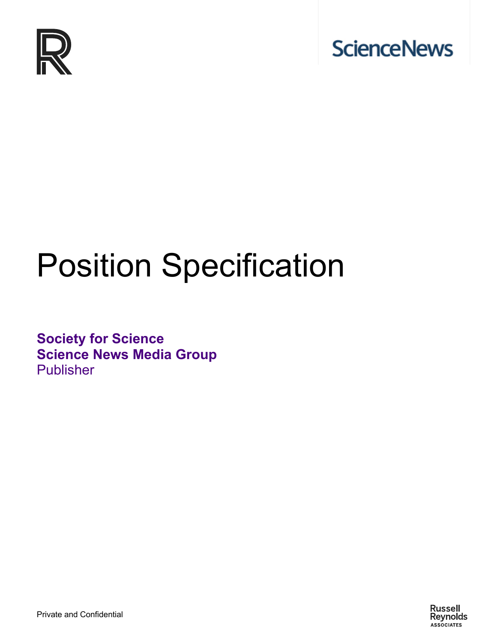



# Position Specification

**Society for Science Science News Media Group** Publisher

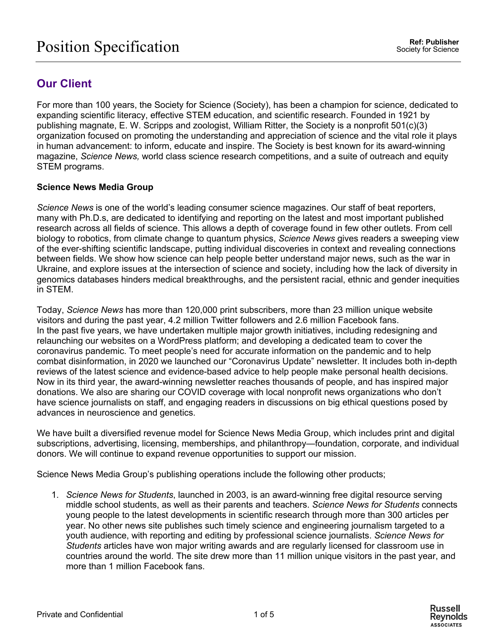## **Our Client**

For more than 100 years, the Society for Science (Society), has been a champion for science, dedicated to expanding scientific literacy, effective STEM education, and scientific research. Founded in 1921 by publishing magnate, E. W. Scripps and zoologist, William Ritter, the Society is a nonprofit 501(c)(3) organization focused on promoting the understanding and appreciation of science and the vital role it plays in human advancement: to inform, educate and inspire. The Society is best known for its award-winning magazine, *Science News,* world class science research competitions, and a suite of outreach and equity STEM programs.

#### **Science News Media Group**

*Science News* is one of the world's leading consumer science magazines. Our staff of beat reporters, many with Ph.D.s, are dedicated to identifying and reporting on the latest and most important published research across all fields of science. This allows a depth of coverage found in few other outlets. From cell biology to robotics, from climate change to quantum physics, *Science News* gives readers a sweeping view of the ever-shifting scientific landscape, putting individual discoveries in context and revealing connections between fields. We show how science can help people better understand major news, such as the war in Ukraine, and explore issues at the intersection of science and society, including how the lack of diversity in genomics databases hinders medical breakthroughs, and the persistent racial, ethnic and gender inequities in STEM.

Today, *Science News* has more than 120,000 print subscribers, more than 23 million unique website visitors and during the past year, 4.2 million Twitter followers and 2.6 million Facebook fans. In the past five years, we have undertaken multiple major growth initiatives, including redesigning and relaunching our websites on a WordPress platform; and developing a dedicated team to cover the coronavirus pandemic. To meet people's need for accurate information on the pandemic and to help combat disinformation, in 2020 we launched our "Coronavirus Update" newsletter. It includes both in-depth reviews of the latest science and evidence-based advice to help people make personal health decisions. Now in its third year, the award-winning newsletter reaches thousands of people, and has inspired major donations. We also are sharing our COVID coverage with local nonprofit news organizations who don't have science journalists on staff, and engaging readers in discussions on big ethical questions posed by advances in neuroscience and genetics.

We have built a diversified revenue model for Science News Media Group, which includes print and digital subscriptions, advertising, licensing, memberships, and philanthropy—foundation, corporate, and individual donors. We will continue to expand revenue opportunities to support our mission.

Science News Media Group's publishing operations include the following other products;

1. *Science News for Students*, launched in 2003, is an award-winning free digital resource serving middle school students, as well as their parents and teachers. *Science News for Students* connects young people to the latest developments in scientific research through more than 300 articles per year. No other news site publishes such timely science and engineering journalism targeted to a youth audience, with reporting and editing by professional science journalists. *Science News for Students* articles have won major writing awards and are regularly licensed for classroom use in countries around the world. The site drew more than 11 million unique visitors in the past year, and more than 1 million Facebook fans.

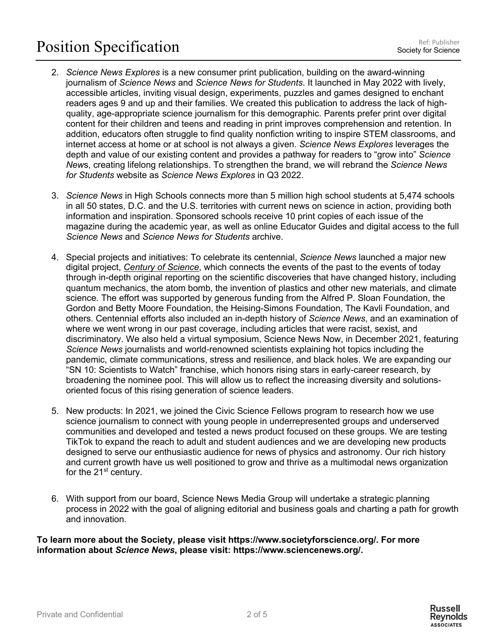# Position Specification Ref: Publisher

- 2. *Science News Explores* is a new consumer print publication, building on the award-winning journalism of *Science News* and *Science News for Students*. It launched in May 2022 with lively, accessible articles, inviting visual design, experiments, puzzles and games designed to enchant readers ages 9 and up and their families. We created this publication to address the lack of highquality, age-appropriate science journalism for this demographic. Parents prefer print over digital content for their children and teens and reading in print improves comprehension and retention. In addition, educators often struggle to find quality nonfiction writing to inspire STEM classrooms, and internet access at home or at school is not always a given. *Science News Explores* leverages the depth and value of our existing content and provides a pathway for readers to "grow into" *Science New*s, creating lifelong relationships. To strengthen the brand, we will rebrand the *Science News for Students* website as *Science News Explores* in Q3 2022.
- 3. *Science News* in High Schools connects more than 5 million high school students at 5,474 schools in all 50 states, D.C. and the U.S. territories with current news on science in action, providing both information and inspiration. Sponsored schools receive 10 print copies of each issue of the magazine during the academic year, as well as online Educator Guides and digital access to the full *Science News* and *Science News for Students* archive.
- 4. Special projects and initiatives: To celebrate its centennial, *Science News* launched a major new digital project, *Century of Science*, which connects the events of the past to the events of today through in-depth original reporting on the scientific discoveries that have changed history, including quantum mechanics, the atom bomb, the invention of plastics and other new materials, and climate science. The effort was supported by generous funding from the Alfred P. Sloan Foundation, the Gordon and Betty Moore Foundation, the Heising-Simons Foundation, The Kavli Foundation, and others. Centennial efforts also included an in-depth history of *Science News*, and an examination of where we went wrong in our past coverage, including articles that were racist, sexist, and discriminatory. We also held a virtual symposium, Science News Now, in December 2021, featuring *Science News* journalists and world-renowned scientists explaining hot topics including the pandemic, climate communications, stress and resilience, and black holes. We are expanding our "SN 10: Scientists to Watch" franchise, which honors rising stars in early-career research, by broadening the nominee pool. This will allow us to reflect the increasing diversity and solutionsoriented focus of this rising generation of science leaders.
- 5. New products: In 2021, we joined the Civic Science Fellows program to research how we use science journalism to connect with young people in underrepresented groups and underserved communities and developed and tested a news product focused on these groups. We are testing TikTok to expand the reach to adult and student audiences and we are developing new products designed to serve our enthusiastic audience for news of physics and astronomy. Our rich history and current growth have us well positioned to grow and thrive as a multimodal news organization for the  $21<sup>st</sup>$  century.
- 6. With support from our board, Science News Media Group will undertake a strategic planning process in 2022 with the goal of aligning editorial and business goals and charting a path for growth and innovation.

**To learn more about the Society, please visit https://www.societyforscience.org/. For more information about** *Science News***, please visit: https://www.sciencenews.org/.**

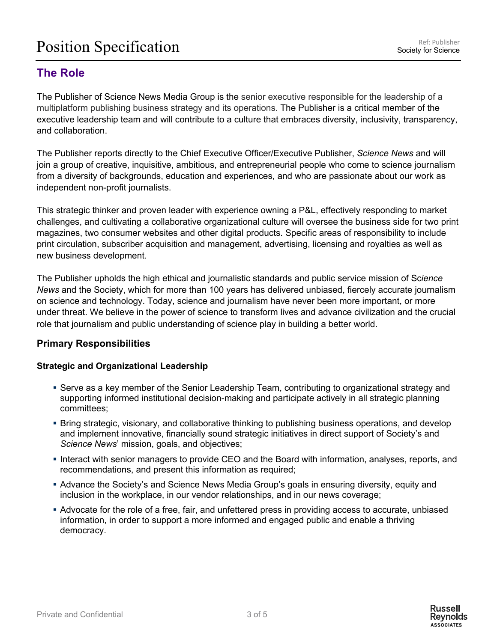# Position Specification Ref: Publisher

## **The Role**

The Publisher of Science News Media Group is the senior executive responsible for the leadership of a multiplatform publishing business strategy and its operations. The Publisher is a critical member of the executive leadership team and will contribute to a culture that embraces diversity, inclusivity, transparency, and collaboration.

The Publisher reports directly to the Chief Executive Officer/Executive Publisher, *Science News* and will join a group of creative, inquisitive, ambitious, and entrepreneurial people who come to science journalism from a diversity of backgrounds, education and experiences, and who are passionate about our work as independent non-profit journalists.

This strategic thinker and proven leader with experience owning a P&L, effectively responding to market challenges, and cultivating a collaborative organizational culture will oversee the business side for two print magazines, two consumer websites and other digital products. Specific areas of responsibility to include print circulation, subscriber acquisition and management, advertising, licensing and royalties as well as new business development.

The Publisher upholds the high ethical and journalistic standards and public service mission of Sc*ience News* and the Society, which for more than 100 years has delivered unbiased, fiercely accurate journalism on science and technology. Today, science and journalism have never been more important, or more under threat. We believe in the power of science to transform lives and advance civilization and the crucial role that journalism and public understanding of science play in building a better world.

#### **Primary Responsibilities**

#### **Strategic and Organizational Leadership**

- Serve as a key member of the Senior Leadership Team, contributing to organizational strategy and supporting informed institutional decision-making and participate actively in all strategic planning committees;
- § Bring strategic, visionary, and collaborative thinking to publishing business operations, and develop and implement innovative, financially sound strategic initiatives in direct support of Society's and *Science News*' mission, goals, and objectives;
- Interact with senior managers to provide CEO and the Board with information, analyses, reports, and recommendations, and present this information as required;
- **Advance the Society's and Science News Media Group's goals in ensuring diversity, equity and** inclusion in the workplace, in our vendor relationships, and in our news coverage;
- § Advocate for the role of a free, fair, and unfettered press in providing access to accurate, unbiased information, in order to support a more informed and engaged public and enable a thriving democracy.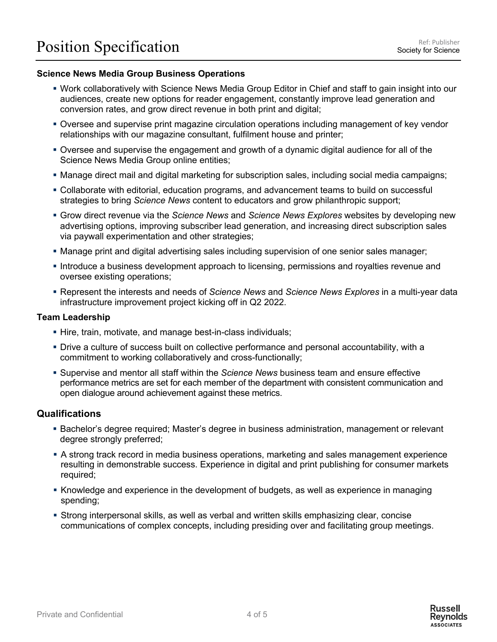#### **Science News Media Group Business Operations**

- § Work collaboratively with Science News Media Group Editor in Chief and staff to gain insight into our audiences, create new options for reader engagement, constantly improve lead generation and conversion rates, and grow direct revenue in both print and digital;
- Oversee and supervise print magazine circulation operations including management of key vendor relationships with our magazine consultant, fulfilment house and printer;
- **Oversee and supervise the engagement and growth of a dynamic digital audience for all of the** Science News Media Group online entities;
- Manage direct mail and digital marketing for subscription sales, including social media campaigns;
- Collaborate with editorial, education programs, and advancement teams to build on successful strategies to bring *Science News* content to educators and grow philanthropic support;
- § Grow direct revenue via the *Science News* and *Science News Explores* websites by developing new advertising options, improving subscriber lead generation, and increasing direct subscription sales via paywall experimentation and other strategies;
- § Manage print and digital advertising sales including supervision of one senior sales manager;
- **Introduce a business development approach to licensing, permissions and royalties revenue and** oversee existing operations;
- § Represent the interests and needs of *Science News* and *Science News Explores* in a multi-year data infrastructure improvement project kicking off in Q2 2022.

#### **Team Leadership**

- Hire, train, motivate, and manage best-in-class individuals;
- Drive a culture of success built on collective performance and personal accountability, with a commitment to working collaboratively and cross-functionally;
- § Supervise and mentor all staff within the *Science News* business team and ensure effective performance metrics are set for each member of the department with consistent communication and open dialogue around achievement against these metrics.

#### **Qualifications**

- **Bachelor's degree required; Master's degree in business administration, management or relevant** degree strongly preferred;
- A strong track record in media business operations, marketing and sales management experience resulting in demonstrable success. Experience in digital and print publishing for consumer markets required;
- Knowledge and experience in the development of budgets, as well as experience in managing spending;
- § Strong interpersonal skills, as well as verbal and written skills emphasizing clear, concise communications of complex concepts, including presiding over and facilitating group meetings.